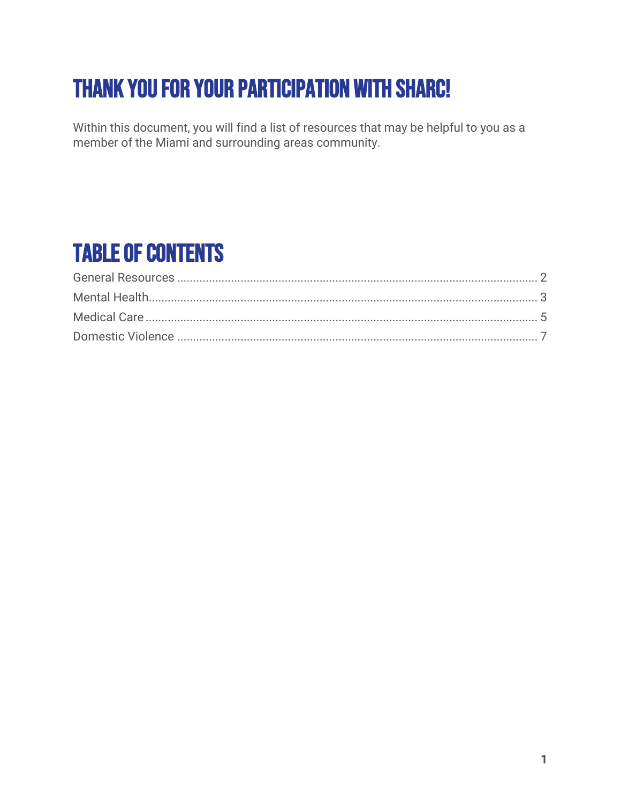# Thank you for your participation with SHARC!

Within this document, you will find a list of resources that may be helpful to you as a member of the Miami and surrounding areas community.

## Table of Contents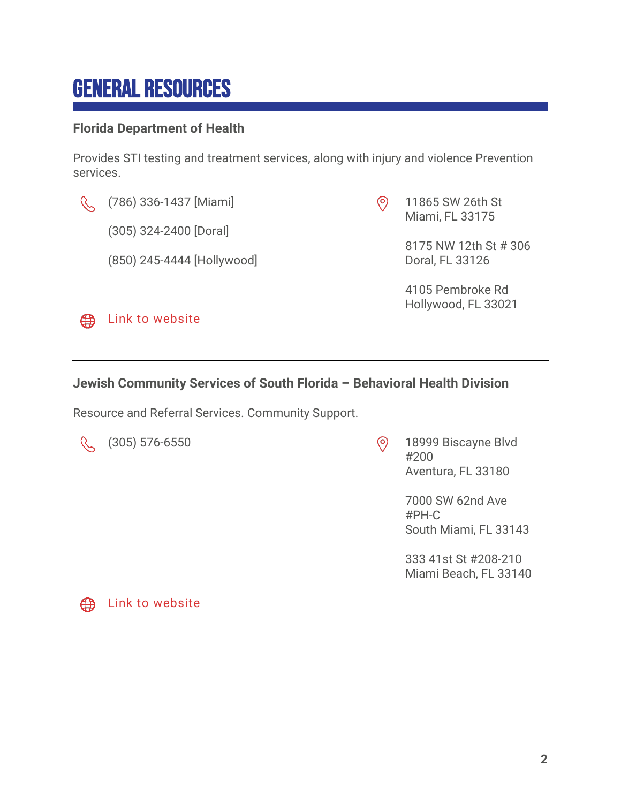### <span id="page-1-0"></span>General Resources

#### **Florida Department of Health**

Provides STI testing and treatment services, along with injury and violence Prevention services.



**ED** [Link to website](http://miamidade.floridahealth.gov/)

- (305) 324-2400 [Doral]
- (850) 245-4444 [Hollywood]

 $\odot$ 11865 SW 26th St Miami, FL 33175

> 8175 NW 12th St # 306 Doral, FL 33126

4105 Pembroke Rd Hollywood, FL 33021

#### **Jewish Community Services of South Florida – Behavioral Health Division**

Resource and Referral Services. Community Support.

(305) 576-6550 18999 Biscayne Blvd #200 Aventura, FL 33180

> 7000 SW 62nd Ave #PH-C South Miami, FL 33143

333 41st St #208-210 Miami Beach, FL 33140



**2**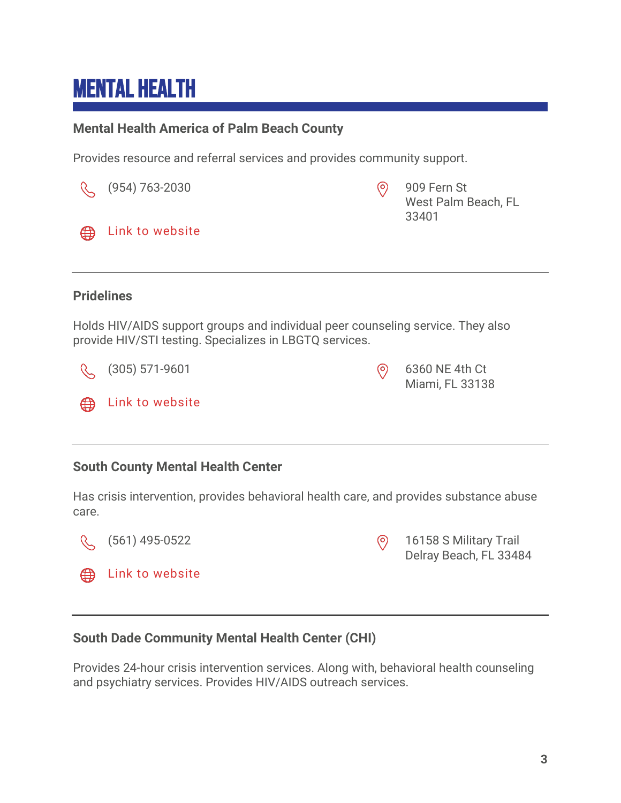## <span id="page-2-0"></span>Mental Health

#### **Mental Health America of Palm Beach County**

Provides resource and referral services and provides community support.

|                                                                                                                                            | (954) 763-2030   | $\circledcirc$ | 909 Fern St<br>West Palm Beach, FL<br>33401 |  |  |
|--------------------------------------------------------------------------------------------------------------------------------------------|------------------|----------------|---------------------------------------------|--|--|
| ⊕                                                                                                                                          | Link to website  |                |                                             |  |  |
|                                                                                                                                            |                  |                |                                             |  |  |
| <b>Pridelines</b>                                                                                                                          |                  |                |                                             |  |  |
| Holds HIV/AIDS support groups and individual peer counseling service. They also<br>provide HIV/STI testing. Specializes in LBGTQ services. |                  |                |                                             |  |  |
|                                                                                                                                            | $(305)$ 571-9601 | $\circ$        | 6360 NE 4th Ct<br>Miami, FL 33138           |  |  |
| ⊕                                                                                                                                          | Link to website  |                |                                             |  |  |
|                                                                                                                                            |                  |                |                                             |  |  |
| <b>South County Mental Health Center</b>                                                                                                   |                  |                |                                             |  |  |
| Has crisis intervention, provides behavioral health care, and provides substance abuse<br>care.                                            |                  |                |                                             |  |  |



(561) 495-0522 16158 S Military Trail Delray Beach, FL 33484

### **South Dade Community Mental Health Center (CHI)**

Provides 24-hour crisis intervention services. Along with, behavioral health counseling and psychiatry services. Provides HIV/AIDS outreach services.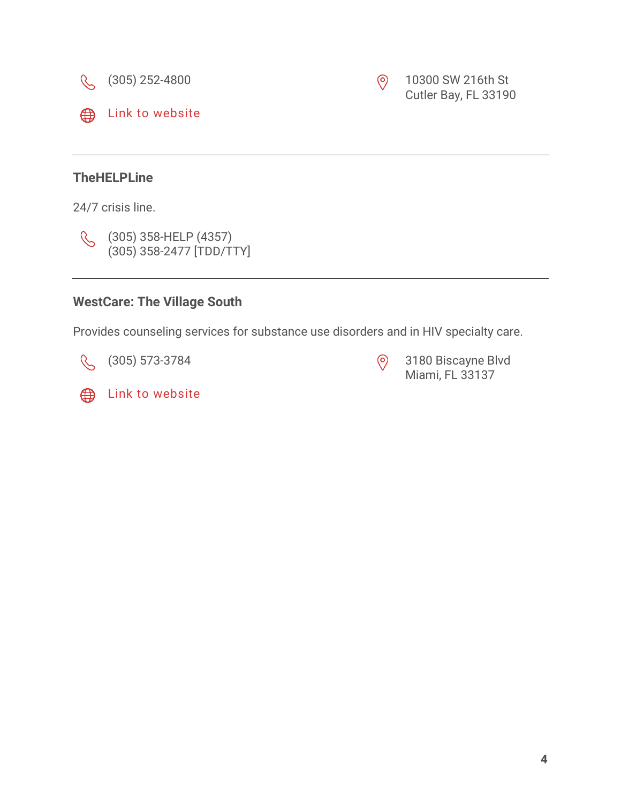





24/7 crisis line.



(305) 358-HELP (4357) (305) 358-2477 [TDD/TTY]

### **WestCare: The Village South**

Provides counseling services for substance use disorders and in HIV specialty care.

(305) 573-3784 (305) 3180 Biscayne Blvd Miami, FL 33137

Cutler Bay, FL 33190

**Example 13** [Link to website](http://www.westcare.com/)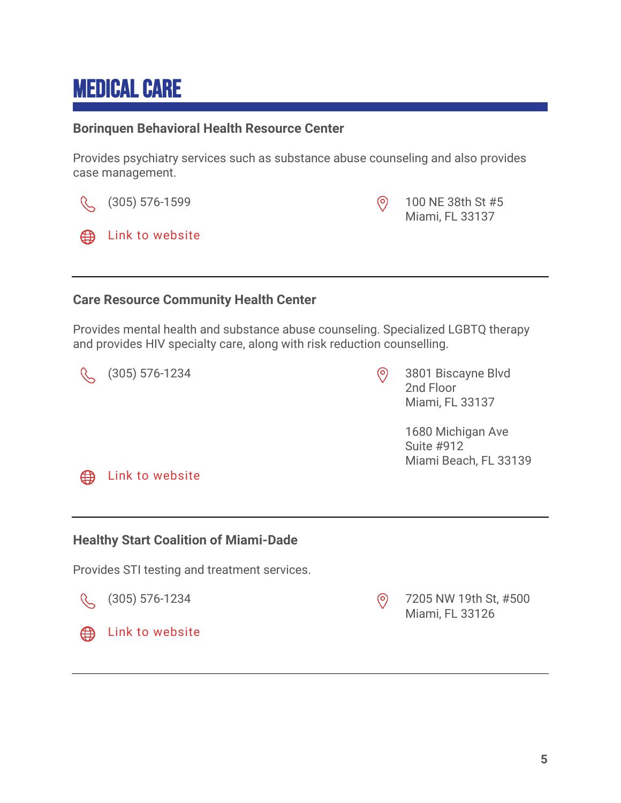## <span id="page-4-0"></span>Medical Care

#### **Borinquen Behavioral Health Resource Center**

Provides psychiatry services such as substance abuse counseling and also provides case management.

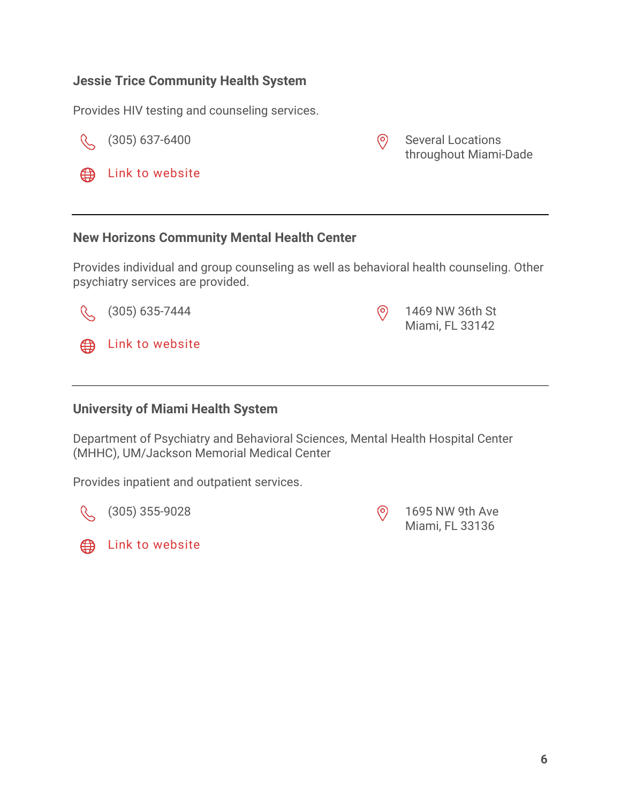#### **Jessie Trice Community Health System**

Provides HIV testing and counseling services.

R

 ⊕ Link to [website](http://www.jtchs.org/)

(305) 637-6400 Several Locations throughout Miami-Dade

#### **New Horizons Community Mental Health Center**

Provides individual and group counseling as well as behavioral health counseling. Other psychiatry services are provided.



**University of Miami Health System**

Department of Psychiatry and Behavioral Sciences, Mental Health Hospital Center (MHHC), UM/Jackson Memorial Medical Center

Provides inpatient and outpatient services.

 $\mathcal{R}^-$ 



(305) 355-9028 1695 NW 9th Ave Miami, FL 33136

Miami, FL 33142

**Example 13 Link to [website](http://psychiatry.med.miami.edu/)**